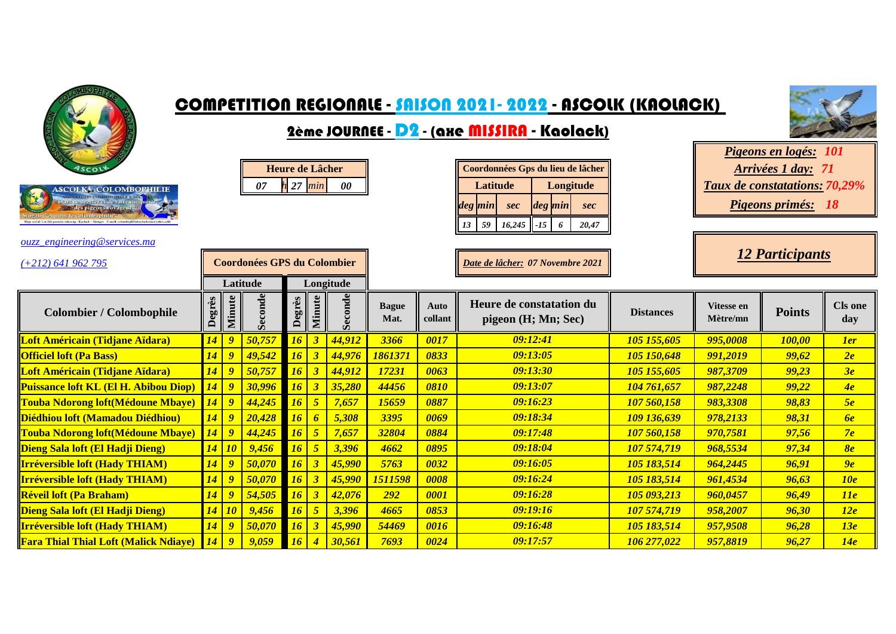

**Irréversible loft (Hady THIAM)** *14 9 50,070 16 3 45,990 54469 0016 105 183,514 957,9508 96,28 13e* **Fara Thial Thial Loft (Malick Ndiaye)** *14 9 9,059 16 4 30,561 7693 0024 106 277,022 957,8819 96,27 14e*

*09:16:48*

*09:17:57*



**day**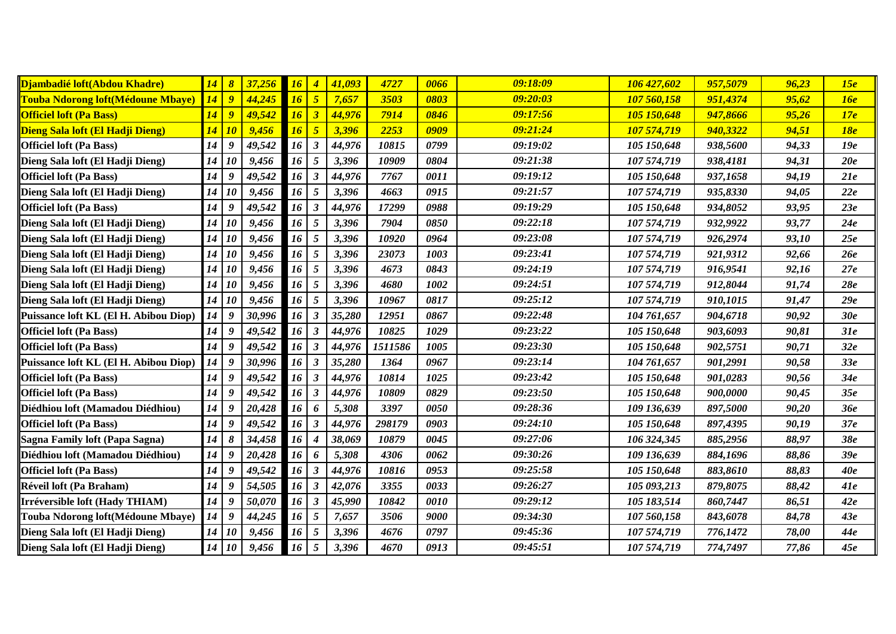| Djambadié loft(Abdou Khadre)              | <u>14</u> | $\boldsymbol{\delta}$ | 37,256 | 16 |   | 41,093 | 4727    | 0066 | 09:18:09 | 106 427,602 | 957,5079 | 96,23 | 15e        |
|-------------------------------------------|-----------|-----------------------|--------|----|---|--------|---------|------|----------|-------------|----------|-------|------------|
| <b>Touba Ndorong loft (Médoune Mbaye)</b> | 14        | $\overline{g}$        | 44,245 | 16 | 5 | 7,657  | 3503    | 0803 | 09:20:03 | 107 560,158 | 951,4374 | 95,62 | 16e        |
| <b>Officiel loft (Pa Bass)</b>            | 14        | $\boldsymbol{g}$      | 49,542 | 16 | 3 | 44,976 | 7914    | 0846 | 09:17:56 | 105 150,648 | 947,8666 | 95,26 | 17e        |
| Dieng Sala loft (El Hadji Dieng)          | 14        | 10                    | 9,456  | 16 | 5 | 3,396  | 2253    | 0909 | 09:21:24 | 107 574,719 | 940,3322 | 94,51 | <b>18e</b> |
| <b>Officiel loft (Pa Bass)</b>            | 14        | 9                     | 49,542 | 16 | 3 | 44,976 | 10815   | 0799 | 09:19:02 | 105 150,648 | 938,5600 | 94,33 | 19e        |
| Dieng Sala loft (El Hadji Dieng)          | 14        | 10                    | 9,456  | 16 | 5 | 3,396  | 10909   | 0804 | 09:21:38 | 107 574,719 | 938,4181 | 94,31 | 20e        |
| <b>Officiel loft (Pa Bass)</b>            | 14        | 9                     | 49,542 | 16 | 3 | 44,976 | 7767    | 0011 | 09:19:12 | 105 150,648 | 937,1658 | 94,19 | 21e        |
| Dieng Sala loft (El Hadji Dieng)          | 14        | 10                    | 9,456  | 16 | 5 | 3,396  | 4663    | 0915 | 09:21:57 | 107 574,719 | 935,8330 | 94,05 | 22e        |
| <b>Officiel loft (Pa Bass)</b>            | 14        | 9                     | 49,542 | 16 |   | 44,976 | 17299   | 0988 | 09:19:29 | 105 150,648 | 934,8052 | 93,95 | 23e        |
| Dieng Sala loft (El Hadji Dieng)          | 14        | <i>10</i>             | 9,456  | 16 | 5 | 3,396  | 7904    | 0850 | 09:22:18 | 107 574,719 | 932,9922 | 93,77 | 24e        |
| Dieng Sala loft (El Hadji Dieng)          | 14        | <b>10</b>             | 9,456  | 16 | 5 | 3,396  | 10920   | 0964 | 09:23:08 | 107 574,719 | 926,2974 | 93,10 | 25e        |
| Dieng Sala loft (El Hadji Dieng)          | 14        | <b>10</b>             | 9,456  | 16 | 5 | 3,396  | 23073   | 1003 | 09:23:41 | 107 574,719 | 921,9312 | 92,66 | 26e        |
| Dieng Sala loft (El Hadji Dieng)          | 14        | <b>10</b>             | 9,456  | 16 | 5 | 3,396  | 4673    | 0843 | 09:24:19 | 107 574,719 | 916,9541 | 92,16 | 27e        |
| Dieng Sala loft (El Hadji Dieng)          | 14        | <b>10</b>             | 9,456  | 16 | 5 | 3,396  | 4680    | 1002 | 09:24:51 | 107 574,719 | 912,8044 | 91,74 | 28e        |
| Dieng Sala loft (El Hadji Dieng)          | 14        | <b>10</b>             | 9,456  | 16 | 5 | 3,396  | 10967   | 0817 | 09:25:12 | 107 574,719 | 910,1015 | 91,47 | 29e        |
| Puissance loft KL (El H. Abibou Diop)     | 14        | 9                     | 30,996 | 16 |   | 35,280 | 12951   | 0867 | 09:22:48 | 104 761,657 | 904,6718 | 90,92 | 30e        |
| <b>Officiel loft (Pa Bass)</b>            | 14        | 9                     | 49,542 | 16 |   | 44,976 | 10825   | 1029 | 09:23:22 | 105 150,648 | 903,6093 | 90,81 | 31e        |
| <b>Officiel loft (Pa Bass)</b>            | 14        | 9                     | 49,542 | 16 | 3 | 44,976 | 1511586 | 1005 | 09:23:30 | 105 150,648 | 902,5751 | 90,71 | 32e        |
| Puissance loft KL (El H. Abibou Diop)     | 14        | 9                     | 30,996 | 16 |   | 35,280 | 1364    | 0967 | 09:23:14 | 104 761,657 | 901,2991 | 90,58 | 33e        |
| <b>Officiel loft (Pa Bass)</b>            | 14        | 9                     | 49,542 | 16 | 3 | 44,976 | 10814   | 1025 | 09:23:42 | 105 150,648 | 901,0283 | 90,56 | 34e        |
| <b>Officiel loft (Pa Bass)</b>            | 14        | 9                     | 49,542 | 16 |   | 44,976 | 10809   | 0829 | 09:23:50 | 105 150,648 | 900,0000 | 90,45 | 35e        |
| Diédhiou loft (Mamadou Diédhiou)          | 14        | 9                     | 20,428 | 16 |   | 5,308  | 3397    | 0050 | 09:28:36 | 109 136,639 | 897,5000 | 90,20 | 36e        |
| <b>Officiel loft (Pa Bass)</b>            | 14        | 9                     | 49,542 | 16 |   | 44,976 | 298179  | 0903 | 09:24:10 | 105 150,648 | 897,4395 | 90,19 | 37e        |
| Sagna Family loft (Papa Sagna)            | 14        | $\pmb{8}$             | 34,458 | 16 |   | 38,069 | 10879   | 0045 | 09:27:06 | 106 324,345 | 885,2956 | 88,97 | 38e        |
| Diédhiou loft (Mamadou Diédhiou)          | 14        | 9                     | 20,428 | 16 |   | 5,308  | 4306    | 0062 | 09:30:26 | 109 136,639 | 884,1696 | 88,86 | 39e        |
| <b>Officiel loft (Pa Bass)</b>            | 14        | 9                     | 49,542 | 16 |   | 44,976 | 10816   | 0953 | 09:25:58 | 105 150,648 | 883,8610 | 88,83 | 40e        |
| Réveil loft (Pa Braham)                   | 14        | 9                     | 54,505 | 16 | 3 | 42,076 | 3355    | 0033 | 09:26:27 | 105 093,213 | 879,8075 | 88,42 | 41e        |
| Irréversible loft (Hady THIAM)            | 14        | 9                     | 50,070 | 16 |   | 45,990 | 10842   | 0010 | 09:29:12 | 105 183,514 | 860,7447 | 86,51 | 42e        |
| Touba Ndorong loft(Médoune Mbaye)         | 14        | 9                     | 44,245 | 16 | 5 | 7,657  | 3506    | 9000 | 09:34:30 | 107 560,158 | 843,6078 | 84,78 | 43e        |
| Dieng Sala loft (El Hadji Dieng)          | 14        | <b>10</b>             | 9,456  | 16 | 5 | 3,396  | 4676    | 0797 | 09:45:36 | 107 574,719 | 776,1472 | 78,00 | 44e        |
| Dieng Sala loft (El Hadji Dieng)          | 14        | <b>10</b>             | 9,456  | 16 | 5 | 3,396  | 4670    | 0913 | 09:45:51 | 107 574,719 | 774,7497 | 77,86 | 45e        |